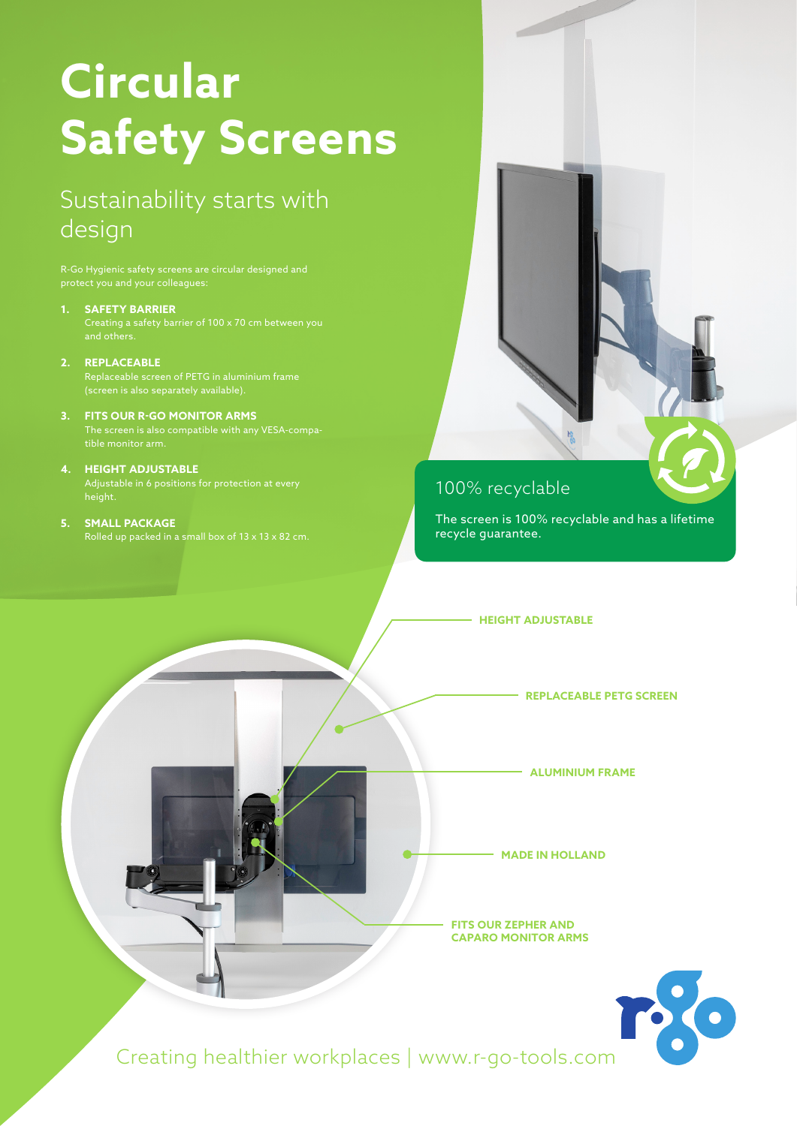## **Circular Safety Screens**

## Sustainability starts with design

**1. SAFETY BARRIER**

**2. REPLACEABLE**

Replaceable screen of PETG in aluminium frame (screen is also separately available).

- **3. FITS OUR R-GO MONITOR ARMS**
- **4. HEIGHT ADJUSTABLE**
- **5. SMALL PACKAGE** Rolled up packed in a small box of 13 x 13 x 82 cm.

### 100% recyclable

The screen is 100% recyclable and has a lifetime recycle guarantee.

**HEIGHT ADJUSTABLE**

**REPLACEABLE PETG SCREEN**

**ALUMINIUM FRAME**

**MADE IN HOLLAND**

**FITS OUR ZEPHER AND CAPARO MONITOR ARMS**



Creating healthier workplaces | www.r-go-tools.com